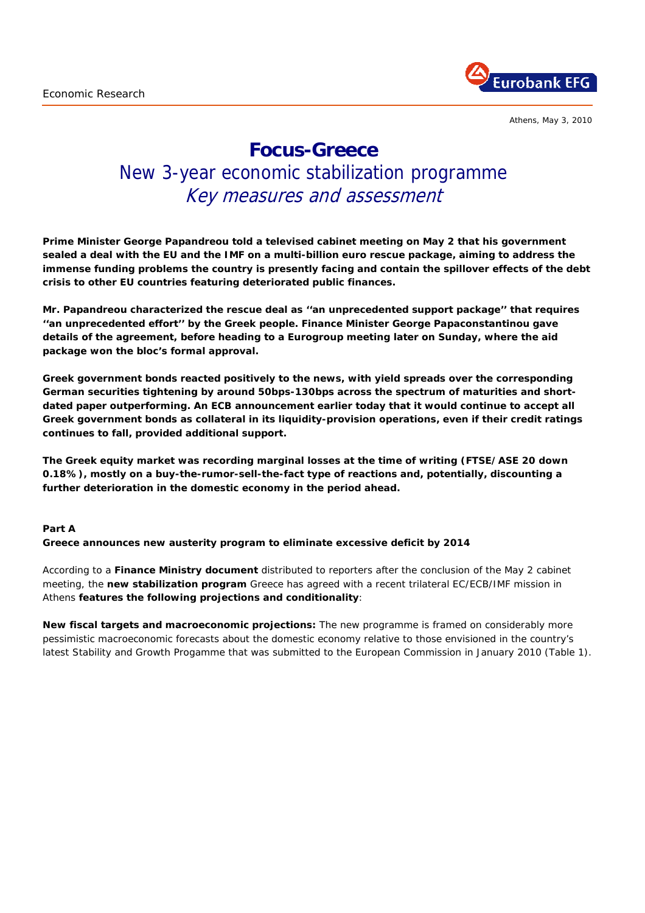

Athens, May 3, 2010

# **Focus-Greece**

# New 3-year economic stabilization programme Key measures and assessment

**Prime Minister George Papandreou told a televised cabinet meeting on May 2 that his government sealed a deal with the EU and the IMF on a multi-billion euro rescue package, aiming to address the immense funding problems the country is presently facing and contain the spillover effects of the debt crisis to other EU countries featuring deteriorated public finances.** 

**Mr. Papandreou characterized the rescue deal as ''an unprecedented support package'' that requires ''an unprecedented effort'' by the Greek people. Finance Minister George Papaconstantinou gave details of the agreement, before heading to a Eurogroup meeting later on Sunday, where the aid package won the bloc's formal approval.** 

**Greek government bonds reacted positively to the news, with yield spreads over the corresponding German securities tightening by around 50bps-130bps across the spectrum of maturities and shortdated paper outperforming. An ECB announcement earlier today that it would continue to accept all Greek government bonds as collateral in its liquidity-provision operations, even if their credit ratings continues to fall, provided additional support.** 

**The Greek equity market was recording marginal losses at the time of writing (FTSE/ASE 20 down 0.18%), mostly on** *a buy-the-rumor-sell-the-fact* **type of reactions and, potentially, discounting a further deterioration in the domestic economy in the period ahead.** 

#### **Part A**

**Greece announces new austerity program to eliminate excessive deficit by 2014** 

According to a **Finance Ministry document** distributed to reporters after the conclusion of the May 2 cabinet meeting, the **new stabilization program** Greece has agreed with a recent trilateral EC/ECB/IMF mission in Athens **features the following projections and conditionality**:

**New fiscal targets and macroeconomic projections:** The new programme is framed on considerably more pessimistic macroeconomic forecasts about the domestic economy relative to those envisioned in the country's latest Stability and Growth Progamme that was submitted to the European Commission in January 2010 *(Table 1).*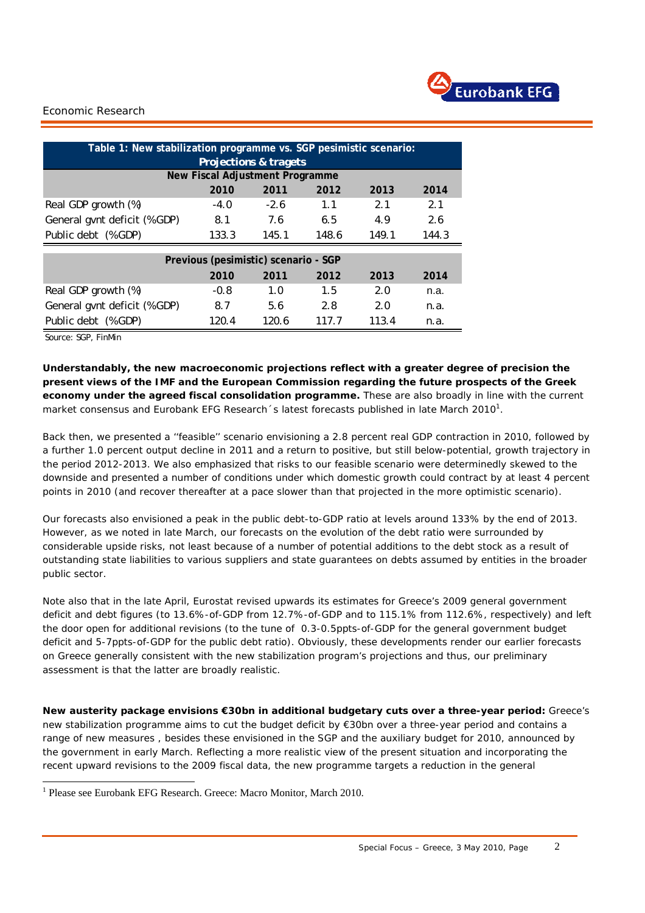

| Table 1: New stabilization programme vs. SGP pesimistic scenario: |        |        |       |       |       |  |
|-------------------------------------------------------------------|--------|--------|-------|-------|-------|--|
| <b>Projections &amp; tragets</b>                                  |        |        |       |       |       |  |
| New Fiscal Adjustment Programme                                   |        |        |       |       |       |  |
|                                                                   | 2010   | 2011   | 2012  | 2013  | 2014  |  |
| Real GDP growth (%)                                               | $-4.0$ | $-2.6$ | 1.1   | 2.1   | 2.1   |  |
| General gvnt deficit (% GDP)                                      | 8.1    | 7.6    | 6.5   | 4.9   | 2.6   |  |
| Public debt (% GDP)                                               | 133.3  | 145.1  | 148.6 | 149.1 | 144.3 |  |
| Previous (pesimistic) scenario - SGP                              |        |        |       |       |       |  |
|                                                                   | 2010   | 2011   | 2012  | 2013  | 2014  |  |
| Real GDP growth (%)                                               | $-0.8$ | 1.0    | 1.5   | 2.0   | n.a.  |  |
| General gvnt deficit (% GDP)                                      | 8.7    | 5.6    | 2.8   | 2.0   | n.a.  |  |
| Public debt (% GDP)                                               | 120.4  | 120.6  | 117.7 | 113.4 | n.a.  |  |

Source: SGP, FinMin

i.

1

**Understandably, the new macroeconomic projections reflect with a greater degree of precision the present views of the IMF and the European Commission regarding the future prospects of the Greek economy under the agreed fiscal consolidation programme.** These are also broadly in line with the current market consensus and Eurobank EFG Research 's latest forecasts published in late March 2010<sup>1</sup>.

Back then, we presented a ''feasible'' scenario envisioning a 2.8 percent real GDP contraction in 2010, followed by a further 1.0 percent output decline in 2011 and a return to positive, but still below-potential, growth trajectory in the period 2012-2013. We also emphasized that risks to our *feasible* scenario were determinedly skewed to the downside and presented a number of conditions under which domestic growth could contract by at least 4 percent points in 2010 (and recover thereafter at a pace slower than that projected in the more optimistic scenario).

Our forecasts also envisioned a peak in the public debt-to-GDP ratio at levels around 133% by the end of 2013. However, as we noted in late March, our forecasts on the evolution of the debt ratio were surrounded by considerable upside risks, not least because of a number of potential additions to the debt stock as a result of outstanding state liabilities to various suppliers and state guarantees on debts assumed by entities in the broader public sector.

Note also that in the late April, Eurostat revised upwards its estimates for Greece's 2009 general government deficit and debt figures (to 13.6%-of-GDP from 12.7%-of-GDP and to 115.1% from 112.6%, respectively*)* and left the door open for additional revisions (to the tune of 0.3-0.5ppts-of-GDP for the general government budget deficit and 5-7ppts-of-GDP for the public debt ratio*). Obviously, these developments render our earlier forecasts on Greece generally consistent with the new stabilization program's projections and thus, our preliminary assessment is that the latter are broadly realistic.* 

**New austerity package envisions €30bn in additional budgetary cuts over a three-year period:** Greece's new stabilization programme aims to cut the budget deficit by €30bn over a three-year period and contains a range of new measures , besides these envisioned in the SGP and the auxiliary budget for 2010, announced by the government in early March*.* Reflecting a more realistic view of the present situation and incorporating the recent upward revisions to the 2009 fiscal data, the new programme targets a reduction in the general

<sup>&</sup>lt;sup>1</sup> Please see Eurobank EFG Research. Greece: Macro Monitor, March 2010.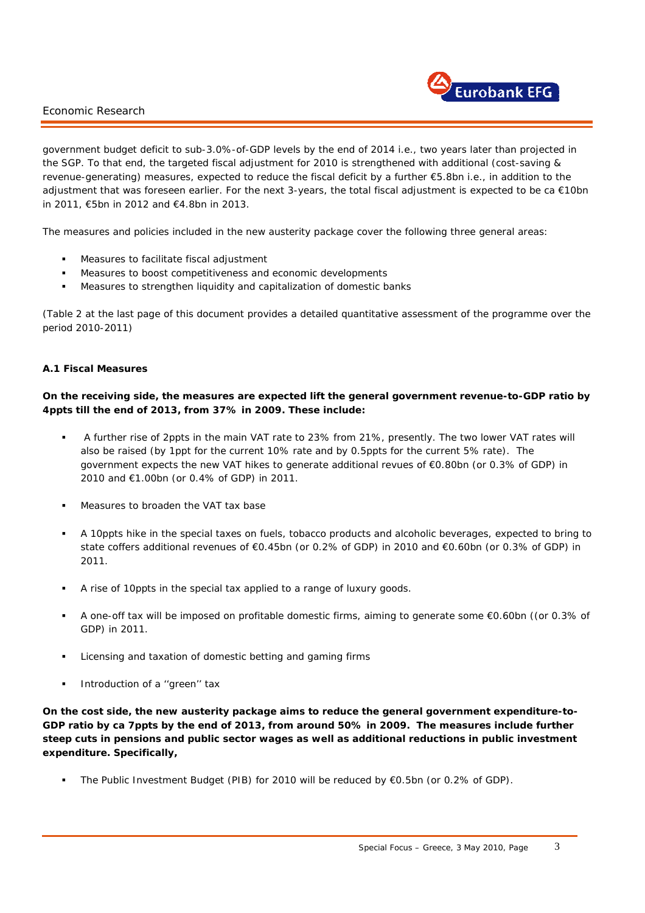

government budget deficit to sub-3.0%-of-GDP levels by the end of 2014 *i.e., two years later than projected in the SGP.* To that end, the targeted fiscal adjustment for 2010 is strengthened with additional *(cost-saving & revenue-generating)* measures, expected to reduce the fiscal deficit by a further €5.8bn *i.e.,* in addition to the adjustment that was foreseen earlier. For the next 3-years, the total fiscal adjustment is expected to be ca €10bn in 2011, €5bn in 2012 and €4.8bn in 2013.

The measures and policies included in the new austerity package cover the following three general areas:

- Measures to facilitate fiscal adjustment
- Measures to boost competitiveness and economic developments
- Measures to strengthen liquidity and capitalization of domestic banks

*(Table 2 at the last page of this document provides a detailed quantitative assessment of the programme over the period 2010-2011)* 

#### **A.1 Fiscal Measures**

### *On the receiving side, the measures are expected lift the general government revenue-to-GDP ratio by 4ppts till the end of 2013, from 37% in 2009. These include:*

- A further rise of 2ppts in the main VAT rate to 23% from 21%, presently. The two lower VAT rates will also be raised (by 1ppt for the current 10% rate and by 0.5ppts for the current 5% rate). The government expects the new VAT hikes to generate additional revues of €0.80bn (or 0.3% of GDP) in 2010 and €1.00bn (or 0.4% of GDP) in 2011.
- Measures to broaden the VAT tax base
- A 10ppts hike in the special taxes on fuels, tobacco products and alcoholic beverages, expected to bring to state coffers additional revenues of €0.45bn (or 0.2% of GDP) in 2010 and €0.60bn (or 0.3% of GDP) in 2011.
- A rise of 10ppts in the special tax applied to a range of luxury goods.
- A one-off tax will be imposed on profitable domestic firms, aiming to generate some €0.60bn ((or 0.3% of GDP) in 2011.
- Licensing and taxation of domestic betting and gaming firms
- Introduction of a ''green'' tax

i.

*On the cost side, the new austerity package aims to reduce the general government expenditure-to-GDP ratio by ca 7ppts by the end of 2013, from around 50% in 2009. The measures include further steep cuts in pensions and public sector wages as well as additional reductions in public investment expenditure. Specifically,* 

The Public Investment Budget (PIB) for 2010 will be reduced by €0.5bn *(or 0.2% of GDP).*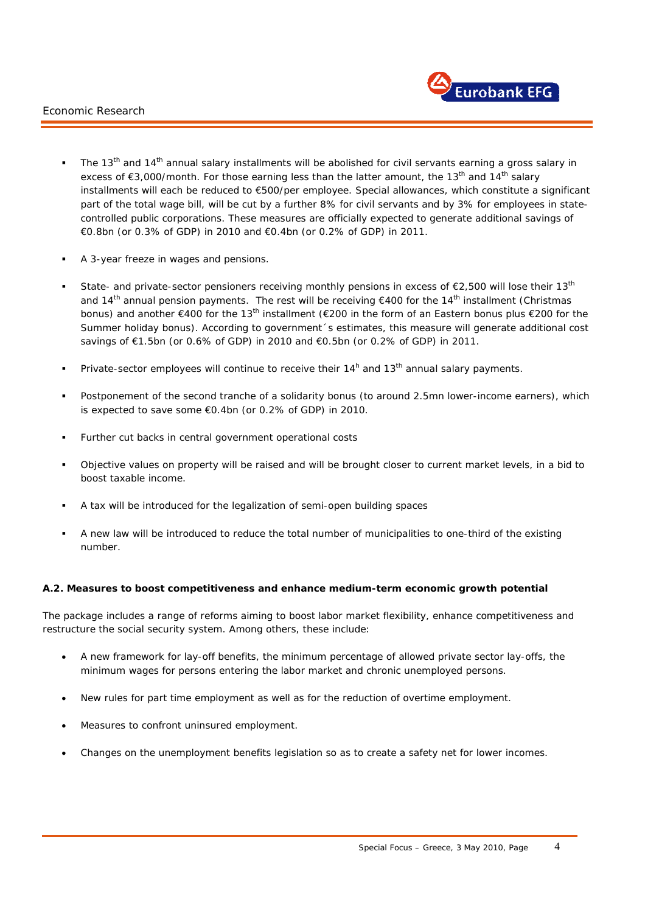

- The 13<sup>th</sup> and 14<sup>th</sup> annual salary installments will be abolished for civil servants earning a gross salary in excess of  $\epsilon$ 3,000/month. For those earning less than the latter amount, the 13<sup>th</sup> and 14<sup>th</sup> salary installments will each be reduced to €500/per employee. Special allowances, which constitute a significant part of the total wage bill, will be cut by a further 8% for civil servants and by 3% for employees in statecontrolled public corporations. These measures are officially expected to generate additional savings of €0.8bn (or 0.3% of GDP) in 2010 and €0.4bn (or 0.2% of GDP) in 2011.
- A 3-year freeze in wages and pensions.
- State- and private-sector pensioners receiving monthly pensions in excess of  $E$ 2,500 will lose their 13<sup>th</sup> and 14<sup>th</sup> annual pension payments. The rest will be receiving  $\epsilon$ 400 for the 14<sup>th</sup> installment (Christmas bonus) and another €400 for the 13<sup>th</sup> installment (€200 in the form of an Eastern bonus plus €200 for the Summer holiday bonus). According to government´s estimates, this measure will generate additional cost savings of €1.5bn (or 0.6% of GDP) in 2010 and €0.5bn (or 0.2% of GDP) in 2011.
- Private-sector employees will continue to receive their  $14<sup>h</sup>$  and  $13<sup>th</sup>$  annual salary payments.
- Postponement of the second tranche of a *solidarity* bonus *(to around 2.5mn lower-income earners),* which is expected to save some €0.4bn (or 0.2% of GDP) in 2010.
- Further cut backs in central government operational costs
- Objective values on property will be raised and will be brought closer to current market levels, in a bid to boost taxable income.
- A tax will be introduced for the legalization of *semi-open* building spaces
- A new law will be introduced to reduce the total number of municipalities to one-third of the existing number.

#### **A.2. Measures to boost competitiveness and enhance medium-term economic growth potential**

The package includes a range of reforms aiming to boost labor market flexibility, enhance competitiveness and restructure the social security system. Among others, these include:

- A new framework for lay-off benefits, the minimum percentage of allowed private sector lay-offs, the minimum wages for persons entering the labor market and chronic unemployed persons.
- New rules for part time employment as well as for the reduction of overtime employment.
- Measures to confront uninsured employment.

i.

• Changes on the unemployment benefits legislation so as to create a safety net for lower incomes.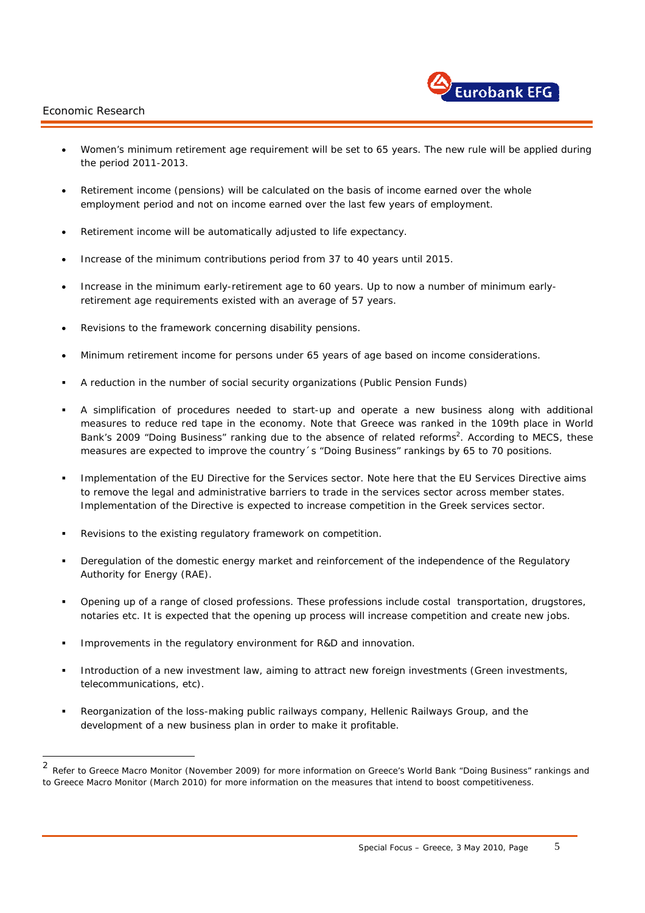i.

1



- Women's minimum retirement age requirement will be set to 65 years. The new rule will be applied during the period 2011-2013.
- Retirement income (pensions) will be calculated on the basis of income earned over the whole employment period and not on income earned over the last few years of employment.
- Retirement income will be automatically adjusted to life expectancy.
- Increase of the minimum contributions period from 37 to 40 years until 2015.
- Increase in the minimum early-retirement age to 60 years. Up to now a number of minimum earlyretirement age requirements existed with an average of 57 years.
- Revisions to the framework concerning disability pensions.
- Minimum retirement income for persons under 65 years of age based on income considerations.
- A reduction in the number of social security organizations (Public Pension Funds)
- A simplification of procedures needed to start-up and operate a new business along with additional measures to reduce red tape in the economy. Note that Greece was ranked in the 109th place in World Bank's 2009 "Doing Business" ranking due to the absence of related reforms<sup>2</sup>. According to MECS, these measures are expected to improve the country´s "Doing Business" rankings by 65 to 70 positions.
- Implementation of the EU Directive for the Services sector. Note here that the EU Services Directive aims to remove the legal and administrative barriers to trade in the services sector across member states. Implementation of the Directive is expected to increase competition in the Greek services sector.
- Revisions to the existing regulatory framework on competition.
- Deregulation of the domestic energy market and reinforcement of the independence of the Regulatory Authority for Energy (RAE).
- Opening up of a range of closed professions. These professions include costal transportation, drugstores, notaries etc. It is expected that the opening up process will increase competition and create new jobs.
- Improvements in the regulatory environment for R&D and innovation.
- Introduction of a new investment law, aiming to attract new foreign investments *(Green investments, telecommunications, etc).*
- Reorganization of the loss-making public railways company, Hellenic Railways Group, and the development of a new business plan in order to make it profitable.

<sup>2</sup> Refer to Greece Macro Monitor (November 2009) for more information on Greece's World Bank "Doing Business" rankings and to Greece Macro Monitor (March 2010) for more information on the measures that intend to boost competitiveness.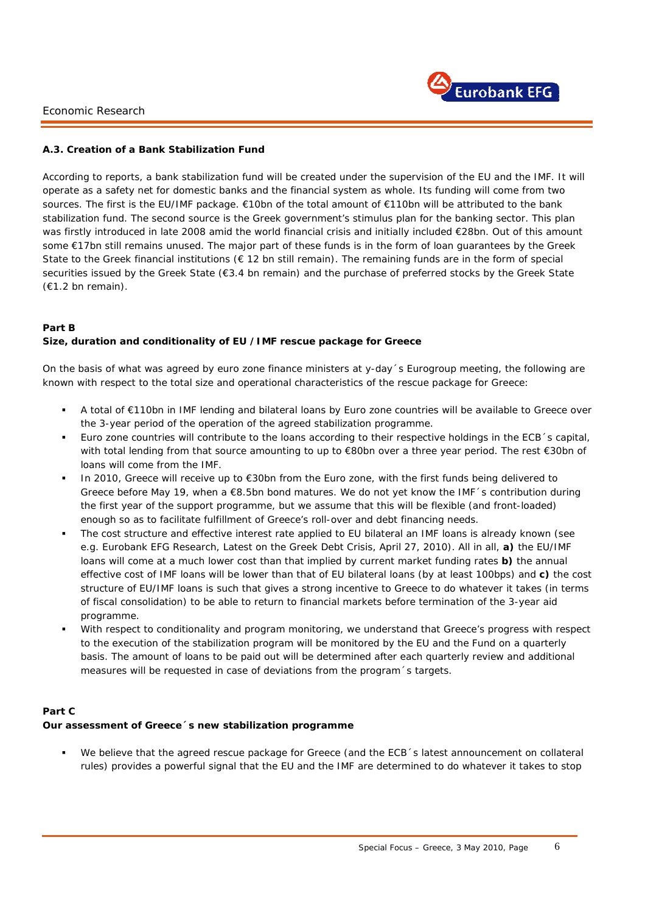

#### **A.3. Creation of a Bank Stabilization Fund**

According to reports, a bank stabilization fund will be created under the supervision of the EU and the IMF. It will operate as a safety net for domestic banks and the financial system as whole. Its funding will come from two sources. The first is the EU/IMF package. €10bn of the total amount of €110bn will be attributed to the bank stabilization fund. The second source is the Greek government's stimulus plan for the banking sector. This plan was firstly introduced in late 2008 amid the world financial crisis and initially included €28bn. Out of this amount some €17bn still remains unused. The major part of these funds is in the form of loan quarantees by the Greek State to the Greek financial institutions ( $\epsilon$  12 bn still remain). The remaining funds are in the form of special securities issued by the Greek State (€3.4 bn remain) and the purchase of preferred stocks by the Greek State (€1.2 bn remain).

#### **Part B**

i.

#### **Size, duration and conditionality of EU /IMF rescue package for Greece**

On the basis of what was agreed by euro zone finance ministers at y-day´s Eurogroup meeting, the following are known with respect to the total size and operational characteristics of the rescue package for Greece:

- A total of €110bn in IMF lending and bilateral loans by Euro zone countries will be available to Greece over the 3-year period of the operation of the agreed stabilization programme.
- Euro zone countries will contribute to the loans according to their respective holdings in the ECB´s capital, with total lending from that source amounting to up to €80bn over a three year period. The rest €30bn of loans will come from the IMF.
- In 2010, Greece will receive up to €30bn from the Euro zone, with the first funds being delivered to Greece before May 19, when a €8.5bn bond matures. We do not yet know the IMF´s contribution during the first year of the support programme, but we assume that this will be flexible (and front-loaded) enough so as to facilitate fulfillment of Greece's roll-over and debt financing needs.
- The cost structure and effective interest rate applied to EU bilateral an IMF loans is already known *(see e.g. Eurobank EFG Research, Latest on the Greek Debt Crisis, April 27, 2010).* All in all, **a)** the EU/IMF loans will come at a much lower cost than that implied by current market funding rates **b)** the annual *effective* cost of IMF loans will be lower than that of EU bilateral loans (by at least 100bps) and **c)** the cost structure of EU/IMF loans is such that gives a strong incentive to Greece to do whatever it takes *(in terms of fiscal consolidation)* to be able to return to financial markets before termination of the 3-year aid programme.
- With respect to conditionality and program monitoring, we understand that Greece's progress with respect to the execution of the stabilization program will be monitored by the EU and the Fund on a quarterly basis. The amount of loans to be paid out will be determined after each quarterly review and additional measures will be requested in case of deviations from the program´s targets.

#### **Part C Our assessment of Greece´s new stabilization programme**

 We believe that the agreed rescue package for Greece *(and the ECB´s latest announcement on collateral rules)* provides a powerful signal that the EU and the IMF are determined to do whatever it takes to stop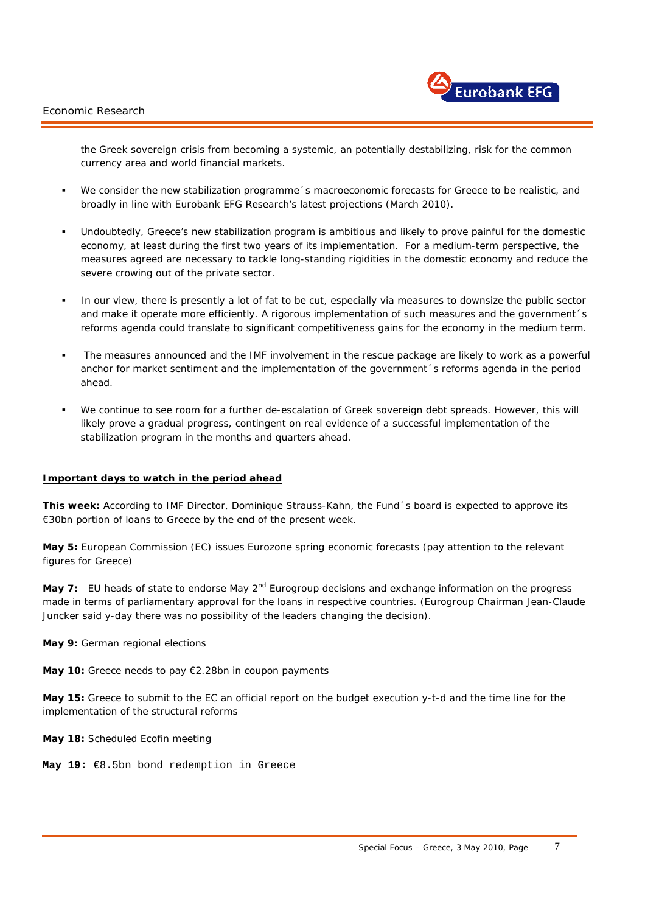

the Greek sovereign crisis from becoming a systemic, an potentially destabilizing, risk for the common currency area and world financial markets.

- We consider the new stabilization programme´s macroeconomic forecasts for Greece to be realistic, and broadly in line with Eurobank EFG Research's latest projections (March 2010).
- Undoubtedly, Greece's new stabilization program is ambitious and likely to prove painful for the domestic economy, at least during the first two years of its implementation. For a medium-term perspective, the measures agreed are necessary to tackle long-standing rigidities in the domestic economy and reduce the severe crowing out of the private sector.
- In our view, there is presently a lot of fat to be cut, especially via measures to downsize the public sector and make it operate more efficiently. A rigorous implementation of such measures and the government's reforms agenda could translate to significant competitiveness gains for the economy in the medium term.
- The measures announced and the IMF involvement in the rescue package are likely to work as a powerful anchor for market sentiment and the implementation of the government´s reforms agenda in the period ahead.
- We continue to see room for a further de-escalation of Greek sovereign debt spreads. However, this will likely prove a gradual progress, contingent on real evidence of a successful implementation of the stabilization program in the months and quarters ahead.

#### **Important days to watch in the period ahead**

**This week:** According to IMF Director, Dominique Strauss-Kahn, the Fund´s board is expected to approve its €30bn portion of loans to Greece by the end of the present week.

**May 5:** European Commission (EC) issues Eurozone spring economic forecasts (pay attention to the relevant figures for Greece)

**May 7:** EU heads of state to endorse May 2<sup>nd</sup> Eurogroup decisions and exchange information on the progress made in terms of parliamentary approval for the loans in respective countries. *(Eurogroup Chairman Jean-Claude Juncker said y-day there was no possibility of the leaders changing the decision).*

**May 9:** German regional elections

**May 10:** Greece needs to pay €2.28bn in coupon payments

**May 15:** Greece to submit to the EC an official report on the budget execution y-t-d and the time line for the implementation of the structural reforms

**May 18:** Scheduled Ecofin meeting

i.

**May 19:** €8.5bn bond redemption in Greece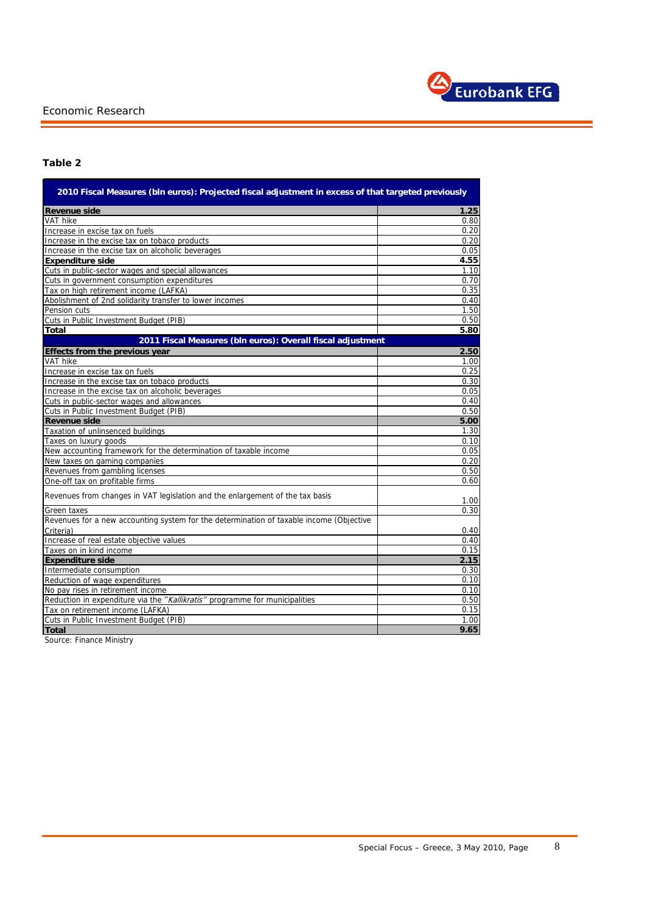

# **Table 2**

| <b>Revenue side</b><br><b>VAT hike</b><br>Increase in excise tax on fuels<br>Increase in the excise tax on tobaco products<br>Increase in the excise tax on alcoholic beverages<br><b>Expenditure side</b><br>Cuts in public-sector wages and special allowances<br>Cuts in government consumption expenditures | 1.25<br>0.80<br>0.20<br>0.20<br>0.05<br>4.55<br>1.10<br>0.70<br>0.35<br>0.40<br>1.50<br>0.50 |
|-----------------------------------------------------------------------------------------------------------------------------------------------------------------------------------------------------------------------------------------------------------------------------------------------------------------|----------------------------------------------------------------------------------------------|
|                                                                                                                                                                                                                                                                                                                 |                                                                                              |
|                                                                                                                                                                                                                                                                                                                 |                                                                                              |
|                                                                                                                                                                                                                                                                                                                 |                                                                                              |
|                                                                                                                                                                                                                                                                                                                 |                                                                                              |
|                                                                                                                                                                                                                                                                                                                 |                                                                                              |
|                                                                                                                                                                                                                                                                                                                 |                                                                                              |
|                                                                                                                                                                                                                                                                                                                 |                                                                                              |
|                                                                                                                                                                                                                                                                                                                 |                                                                                              |
| Tax on high retirement income (LAFKA)                                                                                                                                                                                                                                                                           |                                                                                              |
| Abolishment of 2nd solidarity transfer to lower incomes                                                                                                                                                                                                                                                         |                                                                                              |
| Pension cuts                                                                                                                                                                                                                                                                                                    |                                                                                              |
| Cuts in Public Investment Budget (PIB)                                                                                                                                                                                                                                                                          |                                                                                              |
| <b>Total</b>                                                                                                                                                                                                                                                                                                    | 5.80                                                                                         |
| 2011 Fiscal Measures (bln euros): Overall fiscal adjustment                                                                                                                                                                                                                                                     |                                                                                              |
| <b>Effects from the previous year</b>                                                                                                                                                                                                                                                                           | 2.50                                                                                         |
| <b>VAT hike</b>                                                                                                                                                                                                                                                                                                 | 1.00                                                                                         |
| Increase in excise tax on fuels                                                                                                                                                                                                                                                                                 | 0.25                                                                                         |
| Increase in the excise tax on tobaco products                                                                                                                                                                                                                                                                   | 0.30                                                                                         |
| Increase in the excise tax on alcoholic beverages                                                                                                                                                                                                                                                               | 0.05                                                                                         |
| Cuts in public-sector wages and allowances                                                                                                                                                                                                                                                                      | 0.40                                                                                         |
| Cuts in Public Investment Budget (PIB)                                                                                                                                                                                                                                                                          | 0.50                                                                                         |
| <b>Revenue side</b>                                                                                                                                                                                                                                                                                             | 5.00                                                                                         |
| Taxation of unlinsenced buildings                                                                                                                                                                                                                                                                               | 1.30                                                                                         |
| Taxes on luxury goods                                                                                                                                                                                                                                                                                           | 0.10                                                                                         |
| New accounting framework for the determination of taxable income                                                                                                                                                                                                                                                | 0.05                                                                                         |
| New taxes on gaming companies                                                                                                                                                                                                                                                                                   | 0.20                                                                                         |
| Revenues from gambling licenses                                                                                                                                                                                                                                                                                 | 0.50                                                                                         |
| One-off tax on profitable firms                                                                                                                                                                                                                                                                                 | 0.60                                                                                         |
| Revenues from changes in VAT legislation and the enlargement of the tax basis                                                                                                                                                                                                                                   | 1.00                                                                                         |
| Green taxes                                                                                                                                                                                                                                                                                                     | 0.30                                                                                         |
| Revenues for a new accounting system for the determination of taxable income (Objective                                                                                                                                                                                                                         |                                                                                              |
| Criteria)                                                                                                                                                                                                                                                                                                       | 0.40                                                                                         |
| Increase of real estate objective values                                                                                                                                                                                                                                                                        | 0.40                                                                                         |
| Taxes on in kind income                                                                                                                                                                                                                                                                                         | 0.15                                                                                         |
| <b>Expenditure side</b>                                                                                                                                                                                                                                                                                         | 2.15                                                                                         |
| Intermediate consumption                                                                                                                                                                                                                                                                                        | 0.30                                                                                         |
| Reduction of wage expenditures                                                                                                                                                                                                                                                                                  | 0.10                                                                                         |
| No pay rises in retirement income                                                                                                                                                                                                                                                                               | 0.10                                                                                         |
| Reduction in expenditure via the "Kallikratis" programme for municipalities                                                                                                                                                                                                                                     | 0.50                                                                                         |
| Tax on retirement income (LAFKA)                                                                                                                                                                                                                                                                                | 0.15                                                                                         |
| Cuts in Public Investment Budget (PIB)                                                                                                                                                                                                                                                                          | 1.00                                                                                         |
| 9.65<br><b>Total</b>                                                                                                                                                                                                                                                                                            |                                                                                              |

Source: Finance Ministry

i.